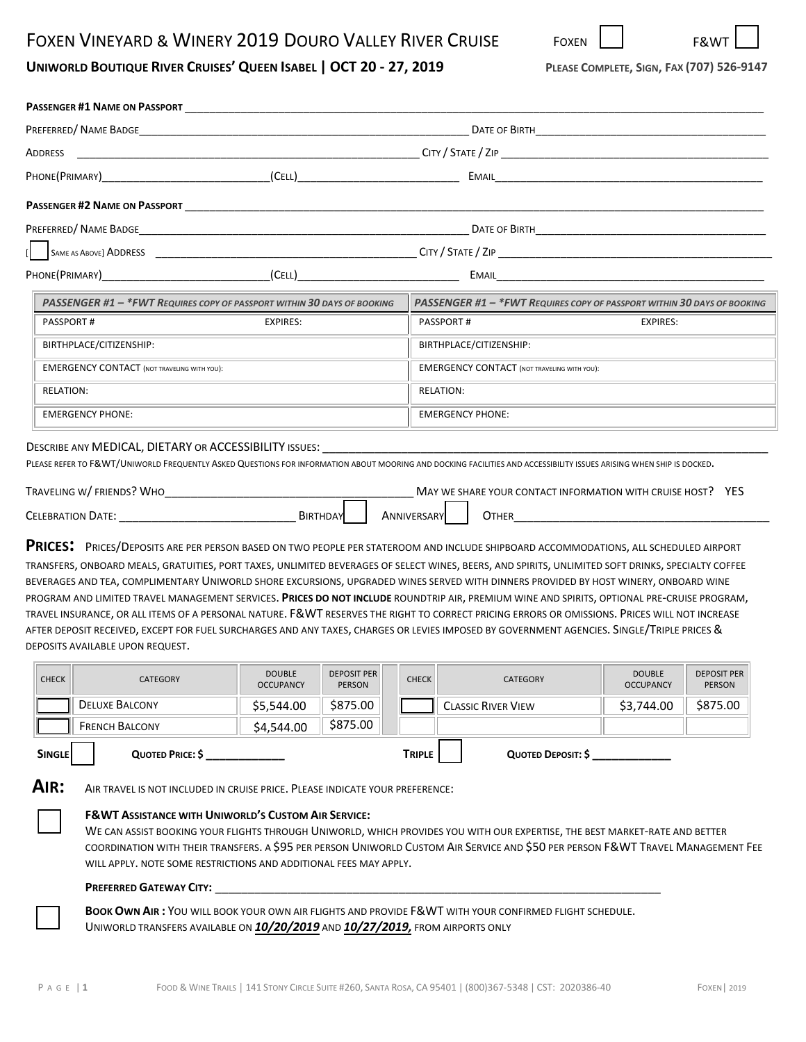# UNIWORLD BOUTIQUE RIVER CRUISES' QUEEN ISABEL | OCT 20 - 27, 2019 PLEASE COMPLETE, SIGN, FAX (707) 526-9147

| <b>PASSENGER #1 NAME ON PASSPORT</b>                                                                                                                                                                                                                                                                                                                                                                                                                                                                                                                                                                                                                                                                                                                                                                                                                                                                                                                    |                                                                                                                                                                                                                                      |                              |                    |                                                                             |                                   |                              |  |
|---------------------------------------------------------------------------------------------------------------------------------------------------------------------------------------------------------------------------------------------------------------------------------------------------------------------------------------------------------------------------------------------------------------------------------------------------------------------------------------------------------------------------------------------------------------------------------------------------------------------------------------------------------------------------------------------------------------------------------------------------------------------------------------------------------------------------------------------------------------------------------------------------------------------------------------------------------|--------------------------------------------------------------------------------------------------------------------------------------------------------------------------------------------------------------------------------------|------------------------------|--------------------|-----------------------------------------------------------------------------|-----------------------------------|------------------------------|--|
|                                                                                                                                                                                                                                                                                                                                                                                                                                                                                                                                                                                                                                                                                                                                                                                                                                                                                                                                                         |                                                                                                                                                                                                                                      |                              |                    |                                                                             |                                   |                              |  |
| ADDRESS                                                                                                                                                                                                                                                                                                                                                                                                                                                                                                                                                                                                                                                                                                                                                                                                                                                                                                                                                 |                                                                                                                                                                                                                                      |                              |                    |                                                                             |                                   |                              |  |
| PHONE(PRIMARY) (CELL)                                                                                                                                                                                                                                                                                                                                                                                                                                                                                                                                                                                                                                                                                                                                                                                                                                                                                                                                   |                                                                                                                                                                                                                                      |                              |                    |                                                                             |                                   |                              |  |
|                                                                                                                                                                                                                                                                                                                                                                                                                                                                                                                                                                                                                                                                                                                                                                                                                                                                                                                                                         |                                                                                                                                                                                                                                      |                              |                    |                                                                             |                                   |                              |  |
|                                                                                                                                                                                                                                                                                                                                                                                                                                                                                                                                                                                                                                                                                                                                                                                                                                                                                                                                                         | DATE OF BIRTH <b>And Account Container and Account Container and Account Container and Account Container and Account Container and Account Container and Account Container and Account Container and Account Container and Accou</b> |                              |                    |                                                                             |                                   |                              |  |
|                                                                                                                                                                                                                                                                                                                                                                                                                                                                                                                                                                                                                                                                                                                                                                                                                                                                                                                                                         | SAME AS ABOVE) ADDRESS CONTROL AND THE CONTROL CITY / STATE / ZIP                                                                                                                                                                    |                              |                    |                                                                             |                                   |                              |  |
| PHONE(PRIMARY)                                                                                                                                                                                                                                                                                                                                                                                                                                                                                                                                                                                                                                                                                                                                                                                                                                                                                                                                          | (CELL)                                                                                                                                                                                                                               |                              |                    |                                                                             |                                   |                              |  |
| PASSENGER #1 - *FWT REQUIRES COPY OF PASSPORT WITHIN 30 DAYS OF BOOKING                                                                                                                                                                                                                                                                                                                                                                                                                                                                                                                                                                                                                                                                                                                                                                                                                                                                                 |                                                                                                                                                                                                                                      |                              |                    | PASSENGER #1 - *FWT REQUIRES COPY OF PASSPORT WITHIN 30 DAYS OF BOOKING     |                                   |                              |  |
| PASSPORT#                                                                                                                                                                                                                                                                                                                                                                                                                                                                                                                                                                                                                                                                                                                                                                                                                                                                                                                                               | <b>EXPIRES:</b>                                                                                                                                                                                                                      |                              |                    | PASSPORT#                                                                   | <b>EXPIRES:</b>                   |                              |  |
| BIRTHPLACE/CITIZENSHIP:                                                                                                                                                                                                                                                                                                                                                                                                                                                                                                                                                                                                                                                                                                                                                                                                                                                                                                                                 |                                                                                                                                                                                                                                      |                              |                    | BIRTHPLACE/CITIZENSHIP:                                                     |                                   |                              |  |
| <b>EMERGENCY CONTACT (NOT TRAVELING WITH YOU):</b>                                                                                                                                                                                                                                                                                                                                                                                                                                                                                                                                                                                                                                                                                                                                                                                                                                                                                                      |                                                                                                                                                                                                                                      |                              |                    | <b>EMERGENCY CONTACT (NOT TRAVELING WITH YOU):</b>                          |                                   |                              |  |
| <b>RELATION:</b>                                                                                                                                                                                                                                                                                                                                                                                                                                                                                                                                                                                                                                                                                                                                                                                                                                                                                                                                        |                                                                                                                                                                                                                                      |                              |                    | <b>RELATION:</b>                                                            |                                   |                              |  |
| <b>EMERGENCY PHONE:</b>                                                                                                                                                                                                                                                                                                                                                                                                                                                                                                                                                                                                                                                                                                                                                                                                                                                                                                                                 |                                                                                                                                                                                                                                      |                              |                    | <b>EMERGENCY PHONE:</b>                                                     |                                   |                              |  |
| TRAVELING W/FRIENDS? WHO<br><b>PRICES:</b> PRICES/DEPOSITS ARE PER PERSON BASED ON TWO PEOPLE PER STATEROOM AND INCLUDE SHIPBOARD ACCOMMODATIONS, ALL SCHEDULED AIRPORT<br>TRANSFERS, ONBOARD MEALS, GRATUITIES, PORT TAXES, UNLIMITED BEVERAGES OF SELECT WINES, BEERS, AND SPIRITS, UNLIMITED SOFT DRINKS, SPECIALTY COFFEE<br>BEVERAGES AND TEA, COMPLIMENTARY UNIWORLD SHORE EXCURSIONS, UPGRADED WINES SERVED WITH DINNERS PROVIDED BY HOST WINERY, ONBOARD WINE<br>PROGRAM AND LIMITED TRAVEL MANAGEMENT SERVICES. PRICES DO NOT INCLUDE ROUNDTRIP AIR, PREMIUM WINE AND SPIRITS, OPTIONAL PRE-CRUISE PROGRAM,<br>TRAVEL INSURANCE, OR ALL ITEMS OF A PERSONAL NATURE. F&WT RESERVES THE RIGHT TO CORRECT PRICING ERRORS OR OMISSIONS. PRICES WILL NOT INCREASE<br>AFTER DEPOSIT RECEIVED, EXCEPT FOR FUEL SURCHARGES AND ANY TAXES, CHARGES OR LEVIES IMPOSED BY GOVERNMENT AGENCIES. SINGLE/TRIPLE PRICES &<br>DEPOSITS AVAILABLE UPON REQUEST. |                                                                                                                                                                                                                                      |                              | <b>ANNIVERSARY</b> | MAY WE SHARE YOUR CONTACT INFORMATION WITH CRUISE HOST? YES<br><b>OTHER</b> |                                   |                              |  |
| <b>CHECK</b><br><b>CATEGORY</b>                                                                                                                                                                                                                                                                                                                                                                                                                                                                                                                                                                                                                                                                                                                                                                                                                                                                                                                         | <b>DOUBLE</b><br><b>OCCUPANCY</b>                                                                                                                                                                                                    | <b>DEPOSIT PER</b><br>PERSON | <b>CHECK</b>       | <b>CATEGORY</b>                                                             | <b>DOUBLE</b><br><b>OCCUPANCY</b> | <b>DEPOSIT PER</b><br>PERSON |  |
| <b>DELUXE BALCONY</b>                                                                                                                                                                                                                                                                                                                                                                                                                                                                                                                                                                                                                                                                                                                                                                                                                                                                                                                                   | \$5,544.00                                                                                                                                                                                                                           | \$875.00                     |                    | <b>CLASSIC RIVER VIEW</b>                                                   | \$3,744.00                        | \$875.00                     |  |
| <b>FRENCH BALCONY</b>                                                                                                                                                                                                                                                                                                                                                                                                                                                                                                                                                                                                                                                                                                                                                                                                                                                                                                                                   | \$4,544.00                                                                                                                                                                                                                           | \$875.00                     |                    |                                                                             |                                   |                              |  |
| QUOTED PRICE: \$<br><b>SINGLE</b>                                                                                                                                                                                                                                                                                                                                                                                                                                                                                                                                                                                                                                                                                                                                                                                                                                                                                                                       |                                                                                                                                                                                                                                      |                              | <b>TRIPLE</b>      | <b>QUOTED DEPOSIT: \$</b>                                                   |                                   |                              |  |

## **F&WT ASSISTANCE WITH UNIWORLD'S CUSTOM AIR SERVICE:**

WE CAN ASSIST BOOKING YOUR FLIGHTS THROUGH UNIWORLD, WHICH PROVIDES YOU WITH OUR EXPERTISE, THE BEST MARKET-RATE AND BETTER COORDINATION WITH THEIR TRANSFERS. A \$95 PER PERSON UNIWORLD CUSTOM AIR SERVICE AND \$50 PER PERSON F&WT TRAVEL MANAGEMENT FEE WILL APPLY. NOTE SOME RESTRICTIONS AND ADDITIONAL FEES MAY APPLY.

#### **PREFERRED GATEWAY CITY:** \_\_\_\_\_\_\_\_\_\_\_\_\_\_\_\_\_\_\_\_\_\_\_\_\_\_\_\_\_\_\_\_\_\_\_\_\_\_\_\_\_\_\_\_\_\_\_\_\_\_\_\_\_\_\_\_\_\_\_\_\_\_\_\_\_\_\_\_

**BOOK OWN AIR :** YOU WILL BOOK YOUR OWN AIR FLIGHTS AND PROVIDE F&WT WITH YOUR CONFIRMED FLIGHT SCHEDULE. UNIWORLD TRANSFERS AVAILABLE ON *10/20/2019* AND *10/27/2019,* FROM AIRPORTS ONLY